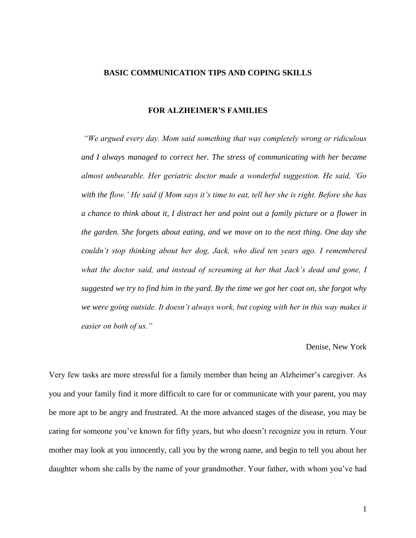## **BASIC COMMUNICATION TIPS AND COPING SKILLS**

#### **FOR ALZHEIMER'S FAMILIES**

*"We argued every day. Mom said something that was completely wrong or ridiculous and I always managed to correct her. The stress of communicating with her became almost unbearable. Her geriatric doctor made a wonderful suggestion. He said, "Go with the flow." He said if Mom says it"s time to eat, tell her she is right. Before she has a chance to think about it, I distract her and point out a family picture or a flower in the garden. She forgets about eating, and we move on to the next thing. One day she couldn"t stop thinking about her dog, Jack, who died ten years ago. I remembered what the doctor said, and instead of screaming at her that Jack"s dead and gone, I suggested we try to find him in the yard. By the time we got her coat on, she forgot why we were going outside. It doesn"t always work, but coping with her in this way makes it easier on both of us."*

### Denise, New York

Very few tasks are more stressful for a family member than being an Alzheimer's caregiver. As you and your family find it more difficult to care for or communicate with your parent, you may be more apt to be angry and frustrated. At the more advanced stages of the disease, you may be caring for someone you've known for fifty years, but who doesn't recognize you in return. Your mother may look at you innocently, call you by the wrong name, and begin to tell you about her daughter whom she calls by the name of your grandmother. Your father, with whom you've had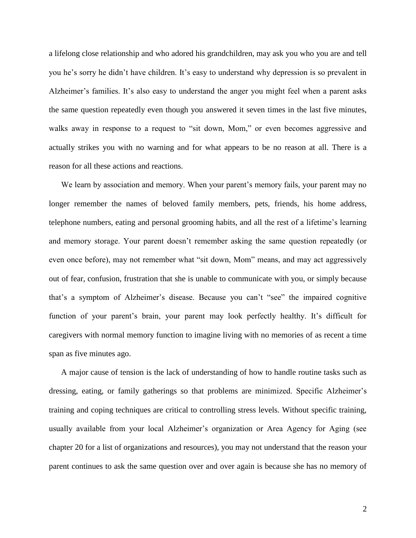a lifelong close relationship and who adored his grandchildren, may ask you who you are and tell you he's sorry he didn't have children. It's easy to understand why depression is so prevalent in Alzheimer's families. It's also easy to understand the anger you might feel when a parent asks the same question repeatedly even though you answered it seven times in the last five minutes, walks away in response to a request to "sit down, Mom," or even becomes aggressive and actually strikes you with no warning and for what appears to be no reason at all. There is a reason for all these actions and reactions.

We learn by association and memory. When your parent's memory fails, your parent may no longer remember the names of beloved family members, pets, friends, his home address, telephone numbers, eating and personal grooming habits, and all the rest of a lifetime's learning and memory storage. Your parent doesn't remember asking the same question repeatedly (or even once before), may not remember what "sit down, Mom" means, and may act aggressively out of fear, confusion, frustration that she is unable to communicate with you, or simply because that's a symptom of Alzheimer's disease. Because you can't "see" the impaired cognitive function of your parent's brain, your parent may look perfectly healthy. It's difficult for caregivers with normal memory function to imagine living with no memories of as recent a time span as five minutes ago.

A major cause of tension is the lack of understanding of how to handle routine tasks such as dressing, eating, or family gatherings so that problems are minimized. Specific Alzheimer's training and coping techniques are critical to controlling stress levels. Without specific training, usually available from your local Alzheimer's organization or Area Agency for Aging (see chapter 20 for a list of organizations and resources), you may not understand that the reason your parent continues to ask the same question over and over again is because she has no memory of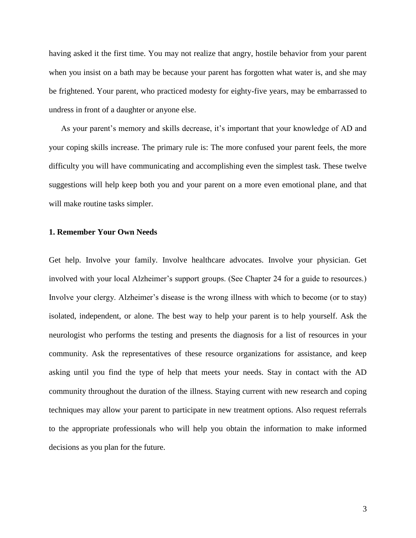having asked it the first time. You may not realize that angry, hostile behavior from your parent when you insist on a bath may be because your parent has forgotten what water is, and she may be frightened. Your parent, who practiced modesty for eighty-five years, may be embarrassed to undress in front of a daughter or anyone else.

As your parent's memory and skills decrease, it's important that your knowledge of AD and your coping skills increase. The primary rule is: The more confused your parent feels, the more difficulty you will have communicating and accomplishing even the simplest task. These twelve suggestions will help keep both you and your parent on a more even emotional plane, and that will make routine tasks simpler.

## **1. Remember Your Own Needs**

Get help. Involve your family. Involve healthcare advocates. Involve your physician. Get involved with your local Alzheimer's support groups. (See Chapter 24 for a guide to resources.) Involve your clergy. Alzheimer's disease is the wrong illness with which to become (or to stay) isolated, independent, or alone. The best way to help your parent is to help yourself. Ask the neurologist who performs the testing and presents the diagnosis for a list of resources in your community. Ask the representatives of these resource organizations for assistance, and keep asking until you find the type of help that meets your needs. Stay in contact with the AD community throughout the duration of the illness. Staying current with new research and coping techniques may allow your parent to participate in new treatment options. Also request referrals to the appropriate professionals who will help you obtain the information to make informed decisions as you plan for the future.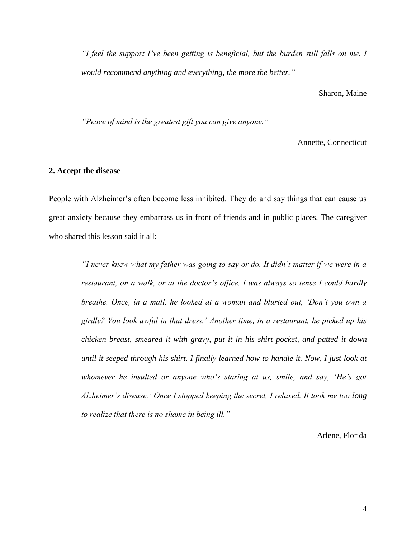*"I feel the support I"ve been getting is beneficial, but the burden still falls on me. I would recommend anything and everything, the more the better."*

Sharon, Maine

*"Peace of mind is the greatest gift you can give anyone."* 

Annette, Connecticut

#### **2. Accept the disease**

People with Alzheimer's often become less inhibited. They do and say things that can cause us great anxiety because they embarrass us in front of friends and in public places. The caregiver who shared this lesson said it all:

*"I never knew what my father was going to say or do. It didn"t matter if we were in a restaurant, on a walk, or at the doctor's office. I was always so tense I could hardly breathe. Once, in a mall, he looked at a woman and blurted out, "Don"t you own a girdle? You look awful in that dress." Another time, in a restaurant, he picked up his chicken breast, smeared it with gravy, put it in his shirt pocket, and patted it down until it seeped through his shirt. I finally learned how to handle it. Now, I just look at whomever he insulted or anyone who"s staring at us, smile, and say, "He"s got Alzheimer"s disease." Once I stopped keeping the secret, I relaxed. It took me too long to realize that there is no shame in being ill."*

Arlene, Florida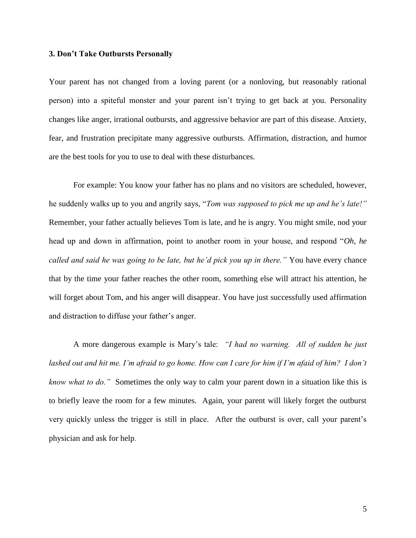#### **3. Don't Take Outbursts Personally**

Your parent has not changed from a loving parent (or a nonloving, but reasonably rational person) into a spiteful monster and your parent isn't trying to get back at you. Personality changes like anger, irrational outbursts, and aggressive behavior are part of this disease. Anxiety, fear, and frustration precipitate many aggressive outbursts. Affirmation, distraction, and humor are the best tools for you to use to deal with these disturbances.

For example: You know your father has no plans and no visitors are scheduled, however, he suddenly walks up to you and angrily says, "*Tom was supposed to pick me up and he"s late!"* Remember, your father actually believes Tom is late, and he is angry. You might smile, nod your head up and down in affirmation, point to another room in your house, and respond "*Oh, he called and said he was going to be late, but he"d pick you up in there."* You have every chance that by the time your father reaches the other room, something else will attract his attention, he will forget about Tom, and his anger will disappear. You have just successfully used affirmation and distraction to diffuse your father's anger.

A more dangerous example is Mary's tale: *"I had no warning. All of sudden he just lashed out and hit me. I"m afraid to go home. How can I care for him if I"m afaid of him? I don"t know what to do."* Sometimes the only way to calm your parent down in a situation like this is to briefly leave the room for a few minutes. Again, your parent will likely forget the outburst very quickly unless the trigger is still in place. After the outburst is over, call your parent's physician and ask for help.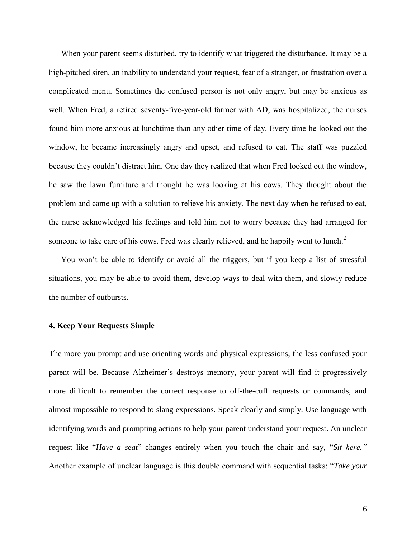When your parent seems disturbed, try to identify what triggered the disturbance. It may be a high-pitched siren, an inability to understand your request, fear of a stranger, or frustration over a complicated menu. Sometimes the confused person is not only angry, but may be anxious as well. When Fred, a retired seventy-five-year-old farmer with AD, was hospitalized, the nurses found him more anxious at lunchtime than any other time of day. Every time he looked out the window, he became increasingly angry and upset, and refused to eat. The staff was puzzled because they couldn't distract him. One day they realized that when Fred looked out the window, he saw the lawn furniture and thought he was looking at his cows. They thought about the problem and came up with a solution to relieve his anxiety. The next day when he refused to eat, the nurse acknowledged his feelings and told him not to worry because they had arranged for someone to take care of his cows. Fred was clearly relieved, and he happily went to lunch.<sup>2</sup>

You won't be able to identify or avoid all the triggers, but if you keep a list of stressful situations, you may be able to avoid them, develop ways to deal with them, and slowly reduce the number of outbursts.

# **4. Keep Your Requests Simple**

The more you prompt and use orienting words and physical expressions, the less confused your parent will be. Because Alzheimer's destroys memory, your parent will find it progressively more difficult to remember the correct response to off-the-cuff requests or commands, and almost impossible to respond to slang expressions. Speak clearly and simply. Use language with identifying words and prompting actions to help your parent understand your request. An unclear request like "*Have a seat*" changes entirely when you touch the chair and say, "*Sit here."* Another example of unclear language is this double command with sequential tasks: "*Take your*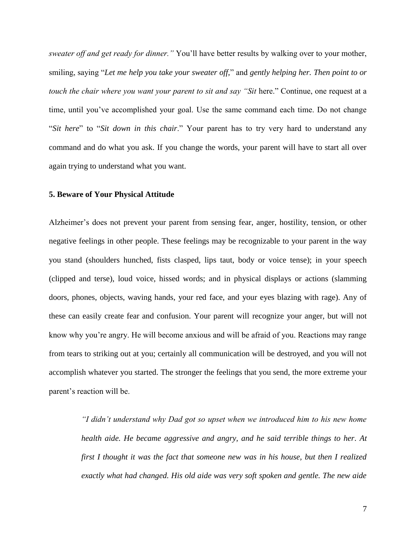*sweater off and get ready for dinner."* You'll have better results by walking over to your mother, smiling, saying "*Let me help you take your sweater off,*" and *gently helping her. Then point to or touch the chair where you want your parent to sit and say "Sit* here." Continue, one request at a time, until you've accomplished your goal. Use the same command each time. Do not change "*Sit here*" to "*Sit down in this chair*." Your parent has to try very hard to understand any command and do what you ask. If you change the words, your parent will have to start all over again trying to understand what you want.

## **5. Beware of Your Physical Attitude**

Alzheimer's does not prevent your parent from sensing fear, anger, hostility, tension, or other negative feelings in other people. These feelings may be recognizable to your parent in the way you stand (shoulders hunched, fists clasped, lips taut, body or voice tense); in your speech (clipped and terse), loud voice, hissed words; and in physical displays or actions (slamming doors, phones, objects, waving hands, your red face, and your eyes blazing with rage). Any of these can easily create fear and confusion. Your parent will recognize your anger, but will not know why you're angry. He will become anxious and will be afraid of you. Reactions may range from tears to striking out at you; certainly all communication will be destroyed, and you will not accomplish whatever you started. The stronger the feelings that you send, the more extreme your parent's reaction will be.

*"I didn"t understand why Dad got so upset when we introduced him to his new home health aide. He became aggressive and angry, and he said terrible things to her. At first I thought it was the fact that someone new was in his house, but then I realized exactly what had changed. His old aide was very soft spoken and gentle. The new aide*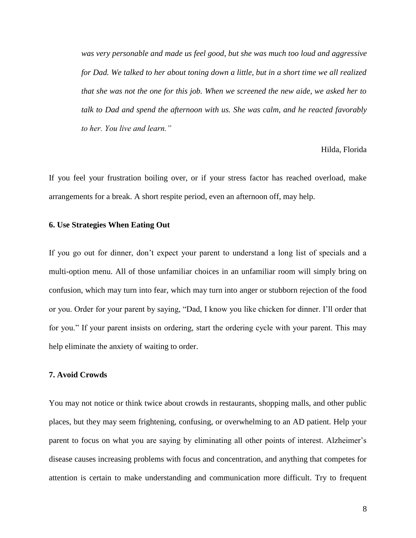*was very personable and made us feel good, but she was much too loud and aggressive for Dad. We talked to her about toning down a little, but in a short time we all realized that she was not the one for this job. When we screened the new aide, we asked her to talk to Dad and spend the afternoon with us. She was calm, and he reacted favorably to her. You live and learn."*

## Hilda, Florida

If you feel your frustration boiling over, or if your stress factor has reached overload, make arrangements for a break. A short respite period, even an afternoon off, may help.

#### **6. Use Strategies When Eating Out**

If you go out for dinner, don't expect your parent to understand a long list of specials and a multi-option menu. All of those unfamiliar choices in an unfamiliar room will simply bring on confusion, which may turn into fear, which may turn into anger or stubborn rejection of the food or you. Order for your parent by saying, "Dad, I know you like chicken for dinner. I'll order that for you." If your parent insists on ordering, start the ordering cycle with your parent. This may help eliminate the anxiety of waiting to order.

## **7. Avoid Crowds**

You may not notice or think twice about crowds in restaurants, shopping malls, and other public places, but they may seem frightening, confusing, or overwhelming to an AD patient. Help your parent to focus on what you are saying by eliminating all other points of interest. Alzheimer's disease causes increasing problems with focus and concentration, and anything that competes for attention is certain to make understanding and communication more difficult. Try to frequent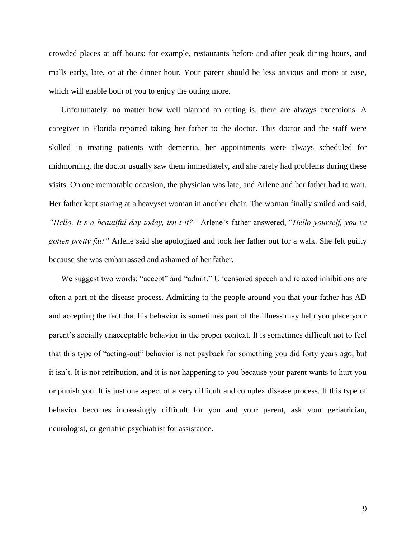crowded places at off hours: for example, restaurants before and after peak dining hours, and malls early, late, or at the dinner hour. Your parent should be less anxious and more at ease, which will enable both of you to enjoy the outing more.

Unfortunately, no matter how well planned an outing is, there are always exceptions. A caregiver in Florida reported taking her father to the doctor. This doctor and the staff were skilled in treating patients with dementia, her appointments were always scheduled for midmorning, the doctor usually saw them immediately, and she rarely had problems during these visits. On one memorable occasion, the physician was late, and Arlene and her father had to wait. Her father kept staring at a heavyset woman in another chair. The woman finally smiled and said, *"Hello. It"s a beautiful day today, isn"t it?"* Arlene's father answered, "*Hello yourself, you"ve gotten pretty fat!"* Arlene said she apologized and took her father out for a walk. She felt guilty because she was embarrassed and ashamed of her father.

We suggest two words: "accept" and "admit." Uncensored speech and relaxed inhibitions are often a part of the disease process. Admitting to the people around you that your father has AD and accepting the fact that his behavior is sometimes part of the illness may help you place your parent's socially unacceptable behavior in the proper context. It is sometimes difficult not to feel that this type of "acting-out" behavior is not payback for something you did forty years ago, but it isn't. It is not retribution, and it is not happening to you because your parent wants to hurt you or punish you. It is just one aspect of a very difficult and complex disease process. If this type of behavior becomes increasingly difficult for you and your parent, ask your geriatrician, neurologist, or geriatric psychiatrist for assistance.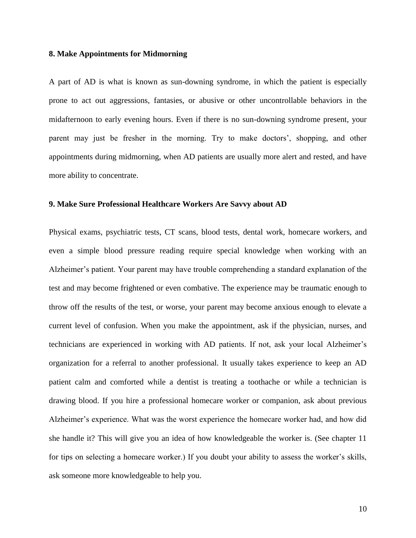#### **8. Make Appointments for Midmorning**

A part of AD is what is known as sun-downing syndrome, in which the patient is especially prone to act out aggressions, fantasies, or abusive or other uncontrollable behaviors in the midafternoon to early evening hours. Even if there is no sun-downing syndrome present, your parent may just be fresher in the morning. Try to make doctors', shopping, and other appointments during midmorning, when AD patients are usually more alert and rested, and have more ability to concentrate.

#### **9. Make Sure Professional Healthcare Workers Are Savvy about AD**

Physical exams, psychiatric tests, CT scans, blood tests, dental work, homecare workers, and even a simple blood pressure reading require special knowledge when working with an Alzheimer's patient. Your parent may have trouble comprehending a standard explanation of the test and may become frightened or even combative. The experience may be traumatic enough to throw off the results of the test, or worse, your parent may become anxious enough to elevate a current level of confusion. When you make the appointment, ask if the physician, nurses, and technicians are experienced in working with AD patients. If not, ask your local Alzheimer's organization for a referral to another professional. It usually takes experience to keep an AD patient calm and comforted while a dentist is treating a toothache or while a technician is drawing blood. If you hire a professional homecare worker or companion, ask about previous Alzheimer's experience. What was the worst experience the homecare worker had, and how did she handle it? This will give you an idea of how knowledgeable the worker is. (See chapter 11 for tips on selecting a homecare worker.) If you doubt your ability to assess the worker's skills, ask someone more knowledgeable to help you.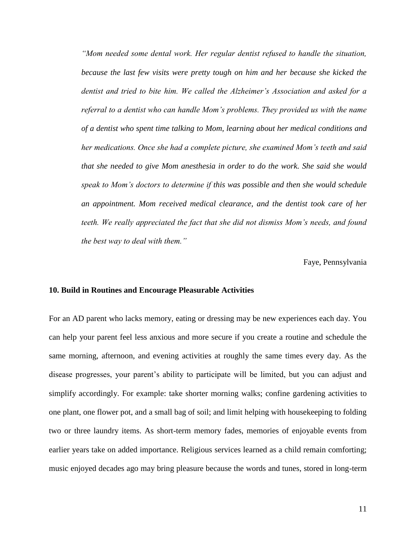*"Mom needed some dental work. Her regular dentist refused to handle the situation, because the last few visits were pretty tough on him and her because she kicked the dentist and tried to bite him. We called the Alzheimer"s Association and asked for a referral to a dentist who can handle Mom"s problems. They provided us with the name of a dentist who spent time talking to Mom, learning about her medical conditions and her medications. Once she had a complete picture, she examined Mom"s teeth and said that she needed to give Mom anesthesia in order to do the work. She said she would speak to Mom"s doctors to determine if this was possible and then she would schedule an appointment. Mom received medical clearance, and the dentist took care of her teeth. We really appreciated the fact that she did not dismiss Mom"s needs, and found the best way to deal with them."*

#### Faye, Pennsylvania

## **10. Build in Routines and Encourage Pleasurable Activities**

For an AD parent who lacks memory, eating or dressing may be new experiences each day. You can help your parent feel less anxious and more secure if you create a routine and schedule the same morning, afternoon, and evening activities at roughly the same times every day. As the disease progresses, your parent's ability to participate will be limited, but you can adjust and simplify accordingly. For example: take shorter morning walks; confine gardening activities to one plant, one flower pot, and a small bag of soil; and limit helping with housekeeping to folding two or three laundry items. As short-term memory fades, memories of enjoyable events from earlier years take on added importance. Religious services learned as a child remain comforting; music enjoyed decades ago may bring pleasure because the words and tunes, stored in long-term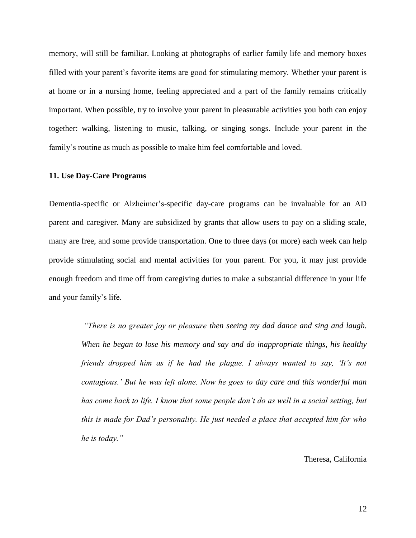memory, will still be familiar. Looking at photographs of earlier family life and memory boxes filled with your parent's favorite items are good for stimulating memory. Whether your parent is at home or in a nursing home, feeling appreciated and a part of the family remains critically important. When possible, try to involve your parent in pleasurable activities you both can enjoy together: walking, listening to music, talking, or singing songs. Include your parent in the family's routine as much as possible to make him feel comfortable and loved.

## **11. Use Day-Care Programs**

Dementia-specific or Alzheimer's-specific day-care programs can be invaluable for an AD parent and caregiver. Many are subsidized by grants that allow users to pay on a sliding scale, many are free, and some provide transportation. One to three days (or more) each week can help provide stimulating social and mental activities for your parent. For you, it may just provide enough freedom and time off from caregiving duties to make a substantial difference in your life and your family's life.

*"There is no greater joy or pleasure then seeing my dad dance and sing and laugh. When he began to lose his memory and say and do inappropriate things, his healthy friends dropped him as if he had the plague. I always wanted to say, "It"s not contagious." But he was left alone. Now he goes to day care and this wonderful man has come back to life. I know that some people don"t do as well in a social setting, but this is made for Dad"s personality. He just needed a place that accepted him for who he is today."*

## Theresa, California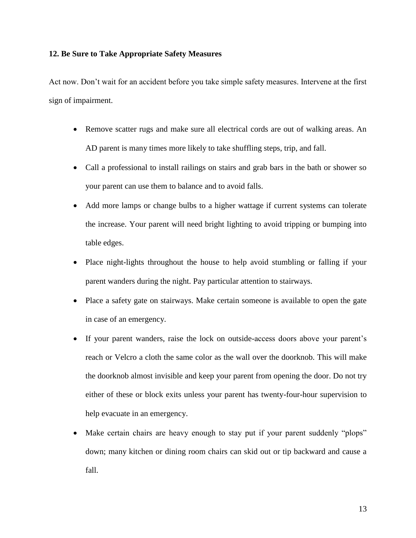## **12. Be Sure to Take Appropriate Safety Measures**

Act now. Don't wait for an accident before you take simple safety measures. Intervene at the first sign of impairment.

- Remove scatter rugs and make sure all electrical cords are out of walking areas. An AD parent is many times more likely to take shuffling steps, trip, and fall.
- Call a professional to install railings on stairs and grab bars in the bath or shower so your parent can use them to balance and to avoid falls.
- Add more lamps or change bulbs to a higher wattage if current systems can tolerate the increase. Your parent will need bright lighting to avoid tripping or bumping into table edges.
- Place night-lights throughout the house to help avoid stumbling or falling if your parent wanders during the night. Pay particular attention to stairways.
- Place a safety gate on stairways. Make certain someone is available to open the gate in case of an emergency.
- If your parent wanders, raise the lock on outside-access doors above your parent's reach or Velcro a cloth the same color as the wall over the doorknob. This will make the doorknob almost invisible and keep your parent from opening the door. Do not try either of these or block exits unless your parent has twenty-four-hour supervision to help evacuate in an emergency.
- Make certain chairs are heavy enough to stay put if your parent suddenly "plops" down; many kitchen or dining room chairs can skid out or tip backward and cause a fall.